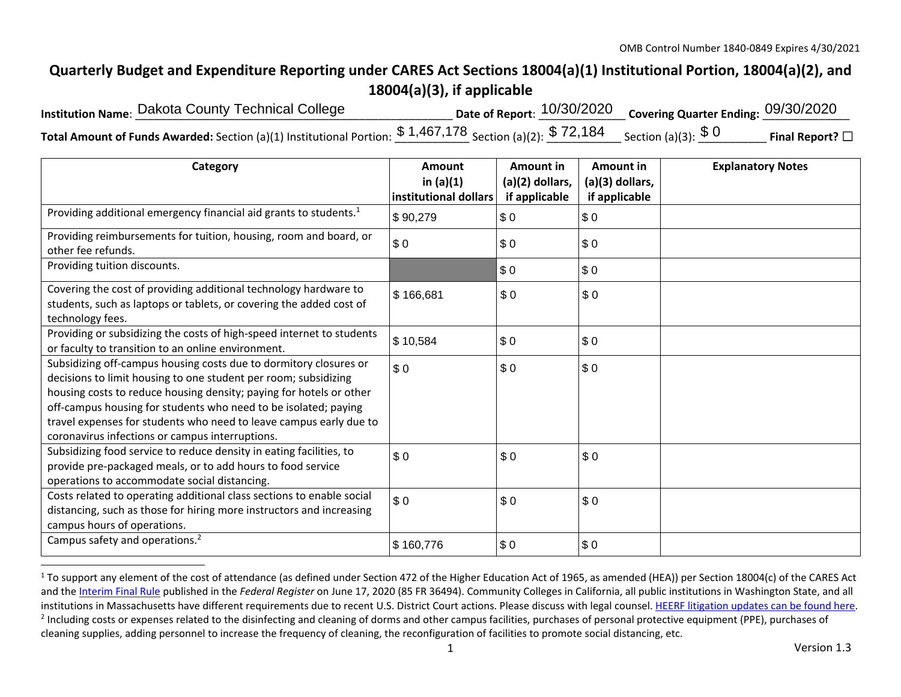## **Quarterly Budget and Expenditure Reporting under CARES Act Sections 18004(a)(1) Institutional Portion, 18004(a)(2), and 18004(a)(3), if applicable**

| Institution Name: Dakota County Technical College                                                                                                                             | Date of Report: $10/30/2020$ Covering Quarter Ending: $09/30/2020$ |                         |
|-------------------------------------------------------------------------------------------------------------------------------------------------------------------------------|--------------------------------------------------------------------|-------------------------|
| Total Amount of Funds Awarded: Section (a)(1) Institutional Portion: $\frac{\$~1,467,178}{\$~3}$ Section (a)(2): $\frac{\$~72,184}{\$~3}$ Section (a)(3): $\frac{\$~0}{\$~0}$ |                                                                    | Final Report? $\square$ |

| Category                                                                                                                                                                                                                                                                                                                                                                                                | Amount<br>in $(a)(1)$<br>institutional dollars | Amount in<br>(a)(2) dollars,<br>if applicable | Amount in<br>(a)(3) dollars,<br>if applicable | <b>Explanatory Notes</b> |
|---------------------------------------------------------------------------------------------------------------------------------------------------------------------------------------------------------------------------------------------------------------------------------------------------------------------------------------------------------------------------------------------------------|------------------------------------------------|-----------------------------------------------|-----------------------------------------------|--------------------------|
| Providing additional emergency financial aid grants to students. <sup>1</sup>                                                                                                                                                                                                                                                                                                                           | \$90,279                                       | \$0                                           | \$0                                           |                          |
| Providing reimbursements for tuition, housing, room and board, or<br>other fee refunds.                                                                                                                                                                                                                                                                                                                 | \$0                                            | \$0                                           | \$0                                           |                          |
| Providing tuition discounts.                                                                                                                                                                                                                                                                                                                                                                            |                                                | \$0                                           | \$0                                           |                          |
| Covering the cost of providing additional technology hardware to<br>students, such as laptops or tablets, or covering the added cost of<br>technology fees.                                                                                                                                                                                                                                             | \$166,681                                      | \$0                                           | \$0                                           |                          |
| Providing or subsidizing the costs of high-speed internet to students<br>or faculty to transition to an online environment.                                                                                                                                                                                                                                                                             | \$10,584                                       | \$0                                           | \$0                                           |                          |
| Subsidizing off-campus housing costs due to dormitory closures or<br>decisions to limit housing to one student per room; subsidizing<br>housing costs to reduce housing density; paying for hotels or other<br>off-campus housing for students who need to be isolated; paying<br>travel expenses for students who need to leave campus early due to<br>coronavirus infections or campus interruptions. | \$0                                            | \$0                                           | \$0                                           |                          |
| Subsidizing food service to reduce density in eating facilities, to<br>provide pre-packaged meals, or to add hours to food service<br>operations to accommodate social distancing.                                                                                                                                                                                                                      | \$0                                            | \$0                                           | \$0                                           |                          |
| Costs related to operating additional class sections to enable social<br>distancing, such as those for hiring more instructors and increasing<br>campus hours of operations.                                                                                                                                                                                                                            | \$0                                            | \$0                                           | \$0                                           |                          |
| Campus safety and operations. <sup>2</sup>                                                                                                                                                                                                                                                                                                                                                              | \$160,776                                      | \$0                                           | \$0                                           |                          |

 $1$  To support any element of the cost of attendance (as defined under Section 472 of the Higher Education Act of 1965, as amended (HEA)) per Section 18004(c) of the CARES Act and the Interim Final Rule published in the *Federal Register* on June 17, 2020 (85 FR 36494). Community Colleges in California, all public institutions in Washington State, and all institutions in Massachusetts have different requirements due to recent U.S. District Court actions. Please discuss with legal counsel. HEERF litigation updates can be found here. <sup>2</sup> Including costs or expenses related to the disinfecting and cleaning of dorms and other campus facilities, purchases of personal protective equipment (PPE), purchases of cleaning supplies, adding personnel to increase the frequency of cleaning, the reconfiguration of facilities to promote social distancing, etc.